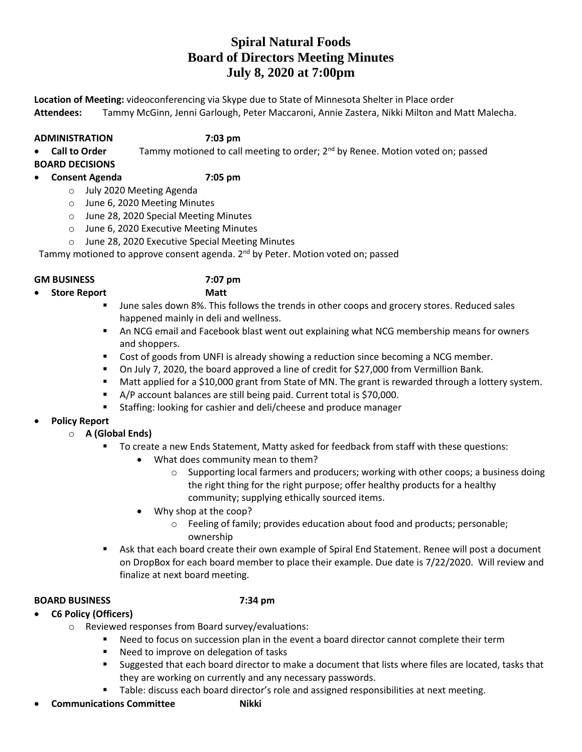# **Spiral Natural Foods Board of Directors Meeting Minutes July 8, 2020 at 7:00pm**

**Location of Meeting:** videoconferencing via Skype due to State of Minnesota Shelter in Place order **Attendees:** Tammy McGinn, Jenni Garlough, Peter Maccaroni, Annie Zastera, Nikki Milton and Matt Malecha.

# **ADMINISTRATION 7:03 pm**

• Call to Order Tammy motioned to call meeting to order; 2<sup>nd</sup> by Renee. Motion voted on; passed **BOARD DECISIONS**

# **Consent Agenda 7:05 pm**

- o July 2020 Meeting Agenda
- o June 6, 2020 Meeting Minutes
- o June 28, 2020 Special Meeting Minutes
- o June 6, 2020 Executive Meeting Minutes
- o June 28, 2020 Executive Special Meeting Minutes

Tammy motioned to approve consent agenda. 2<sup>nd</sup> by Peter. Motion voted on; passed

# **GM BUSINESS 7:07 pm**

- **Store Report Matt**
	- June sales down 8%. This follows the trends in other coops and grocery stores. Reduced sales
	- happened mainly in deli and wellness.
		- An NCG email and Facebook blast went out explaining what NCG membership means for owners and shoppers.
		- **Cost of goods from UNFI is already showing a reduction since becoming a NCG member.**
		- On July 7, 2020, the board approved a line of credit for \$27,000 from Vermillion Bank.
		- Matt applied for a \$10,000 grant from State of MN. The grant is rewarded through a lottery system.
		- A/P account balances are still being paid. Current total is \$70,000.
		- **Staffing: looking for cashier and deli/cheese and produce manager**
- **Policy Report**
	- o **A (Global Ends)**
		- To create a new Ends Statement, Matty asked for feedback from staff with these questions:
			- What does community mean to them?
				- $\circ$  Supporting local farmers and producers; working with other coops; a business doing the right thing for the right purpose; offer healthy products for a healthy community; supplying ethically sourced items.
			- Why shop at the coop?
				- o Feeling of family; provides education about food and products; personable; ownership
		- Ask that each board create their own example of Spiral End Statement. Renee will post a document on DropBox for each board member to place their example. Due date is 7/22/2020. Will review and finalize at next board meeting.

# **BOARD BUSINESS 7:34 pm**

- **C6 Policy (Officers)**
	- o Reviewed responses from Board survey/evaluations:
		- **Need to focus on succession plan in the event a board director cannot complete their term**
		- **Need to improve on delegation of tasks**
		- Suggested that each board director to make a document that lists where files are located, tasks that they are working on currently and any necessary passwords.
		- **Table: discuss each board director's role and assigned responsibilities at next meeting.**
- **Communications Committee Mikki**